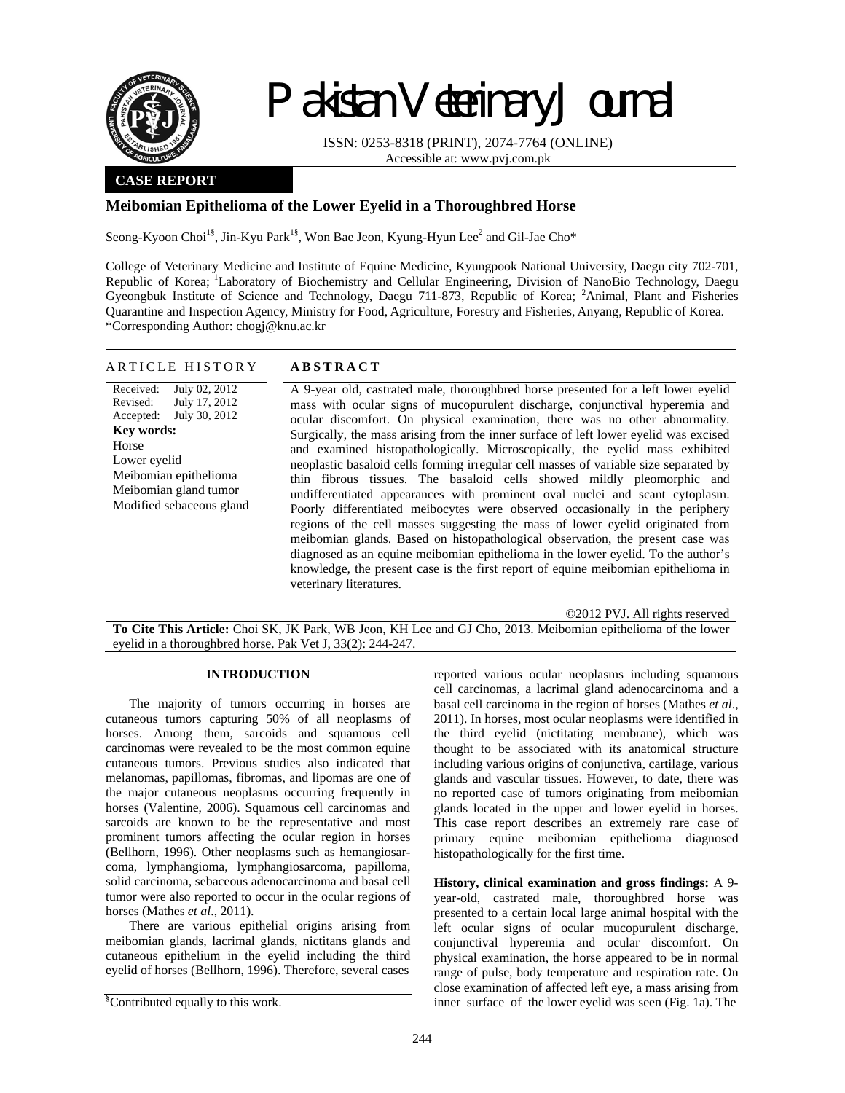

# Pakistan Veterinary Journal

ISSN: 0253-8318 (PRINT), 2074-7764 (ONLINE) Accessible at: www.pvj.com.pk

## **CASE REPORT**

# **Meibomian Epithelioma of the Lower Eyelid in a Thoroughbred Horse**

Seong-Kyoon Choi<sup>1§</sup>, Jin-Kyu Park<sup>1§</sup>, Won Bae Jeon, Kyung-Hyun Lee<sup>2</sup> and Gil-Jae Cho\*

College of Veterinary Medicine and Institute of Equine Medicine, Kyungpook National University, Daegu city 702-701, Republic of Korea; <sup>1</sup>Laboratory of Biochemistry and Cellular Engineering, Division of NanoBio Technology, Daegu Gyeongbuk Institute of Science and Technology, Daegu 711-873, Republic of Korea; <sup>2</sup>Animal, Plant and Fisheries Quarantine and Inspection Agency, Ministry for Food, Agriculture, Forestry and Fisheries, Anyang, Republic of Korea. \*Corresponding Author: chogj@knu.ac.kr

| <b>ABSTRACT</b><br>ARTICLE HISTORY |
|------------------------------------|
|------------------------------------|

Received: Revised: Accepted: July 02, 2012 July 17, 2012 July 30, 2012 **Key words:**  Horse Lower eyelid Meibomian epithelioma Meibomian gland tumor Modified sebaceous gland A 9-year old, castrated male, thoroughbred horse presented for a left lower eyelid mass with ocular signs of mucopurulent discharge, conjunctival hyperemia and ocular discomfort. On physical examination, there was no other abnormality. Surgically, the mass arising from the inner surface of left lower eyelid was excised and examined histopathologically. Microscopically, the eyelid mass exhibited neoplastic basaloid cells forming irregular cell masses of variable size separated by thin fibrous tissues. The basaloid cells showed mildly pleomorphic and undifferentiated appearances with prominent oval nuclei and scant cytoplasm. Poorly differentiated meibocytes were observed occasionally in the periphery regions of the cell masses suggesting the mass of lower eyelid originated from meibomian glands. Based on histopathological observation, the present case was diagnosed as an equine meibomian epithelioma in the lower eyelid. To the author's knowledge, the present case is the first report of equine meibomian epithelioma in veterinary literatures.

©2012 PVJ. All rights reserved

**To Cite This Article:** Choi SK, JK Park, WB Jeon, KH Lee and GJ Cho, 2013. Meibomian epithelioma of the lower eyelid in a thoroughbred horse. Pak Vet J, 33(2): 244-247.

## **INTRODUCTION**

The majority of tumors occurring in horses are cutaneous tumors capturing 50% of all neoplasms of horses. Among them, sarcoids and squamous cell carcinomas were revealed to be the most common equine cutaneous tumors. Previous studies also indicated that melanomas, papillomas, fibromas, and lipomas are one of the major cutaneous neoplasms occurring frequently in horses (Valentine, 2006). Squamous cell carcinomas and sarcoids are known to be the representative and most prominent tumors affecting the ocular region in horses (Bellhorn, 1996). Other neoplasms such as hemangiosarcoma, lymphangioma, lymphangiosarcoma, papilloma, solid carcinoma, sebaceous adenocarcinoma and basal cell tumor were also reported to occur in the ocular regions of horses (Mathes *et al*., 2011).

There are various epithelial origins arising from meibomian glands, lacrimal glands, nictitans glands and cutaneous epithelium in the eyelid including the third eyelid of horses (Bellhorn, 1996). Therefore, several cases

reported various ocular neoplasms including squamous cell carcinomas, a lacrimal gland adenocarcinoma and a basal cell carcinoma in the region of horses (Mathes *et al*., 2011). In horses, most ocular neoplasms were identified in the third eyelid (nictitating membrane), which was thought to be associated with its anatomical structure including various origins of conjunctiva, cartilage, various glands and vascular tissues. However, to date, there was no reported case of tumors originating from meibomian glands located in the upper and lower eyelid in horses. This case report describes an extremely rare case of primary equine meibomian epithelioma diagnosed histopathologically for the first time.

**History, clinical examination and gross findings:** A 9 year-old, castrated male, thoroughbred horse was presented to a certain local large animal hospital with the left ocular signs of ocular mucopurulent discharge, conjunctival hyperemia and ocular discomfort. On physical examination, the horse appeared to be in normal range of pulse, body temperature and respiration rate. On close examination of affected left eye, a mass arising from inner surface of the lower eyelid was seen (Fig. 1a). The

<sup>§</sup> Contributed equally to this work.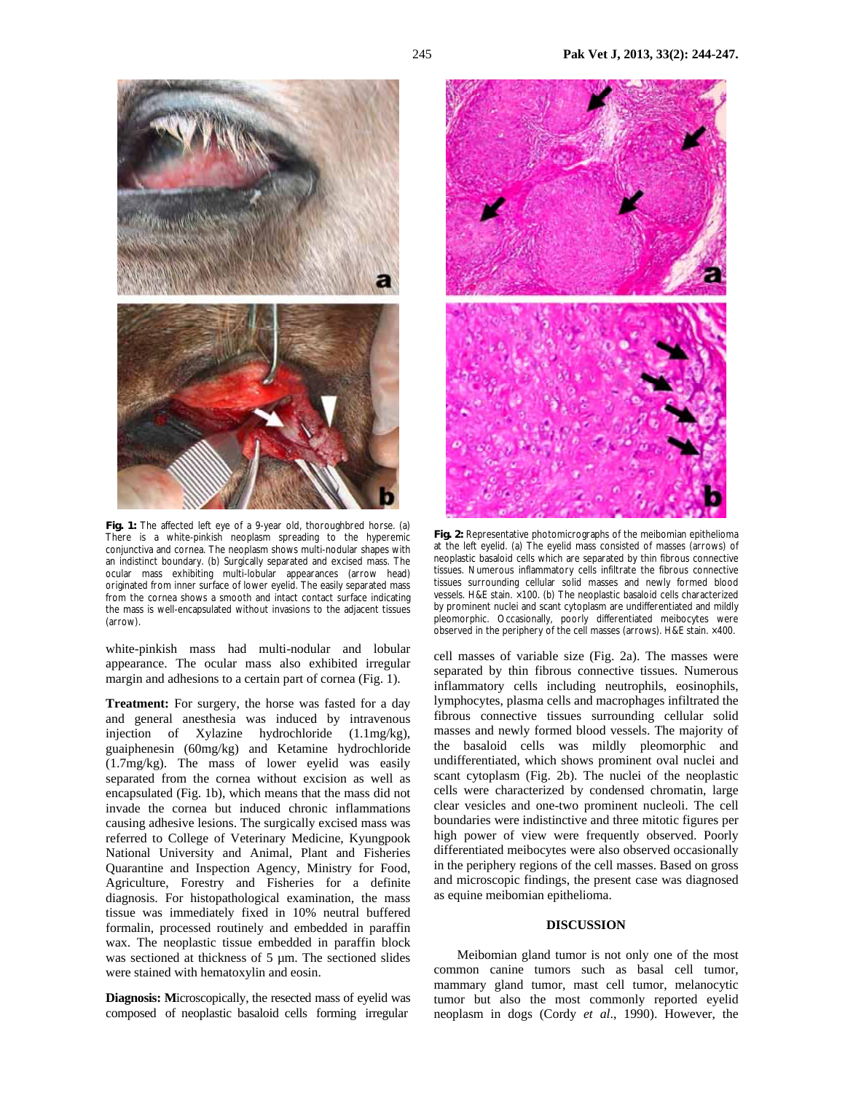

**Fig. 1:** The affected left eye of a 9-year old, thoroughbred horse. (a) There is a white-pinkish neoplasm spreading to the hyperemic conjunctiva and cornea. The neoplasm shows multi-nodular shapes with an indistinct boundary. (b) Surgically separated and excised mass. The ocular mass exhibiting multi-lobular appearances (arrow head) originated from inner surface of lower eyelid. The easily separated mass from the cornea shows a smooth and intact contact surface indicating the mass is well-encapsulated without invasions to the adjacent tissues (arrow).

white-pinkish mass had multi-nodular and lobular appearance. The ocular mass also exhibited irregular margin and adhesions to a certain part of cornea (Fig. 1).

**Treatment:** For surgery, the horse was fasted for a day and general anesthesia was induced by intravenous injection of Xylazine hydrochloride (1.1mg/kg), guaiphenesin (60mg/kg) and Ketamine hydrochloride (1.7mg/kg). The mass of lower eyelid was easily separated from the cornea without excision as well as encapsulated (Fig. 1b), which means that the mass did not invade the cornea but induced chronic inflammations causing adhesive lesions. The surgically excised mass was referred to College of Veterinary Medicine, Kyungpook National University and Animal, Plant and Fisheries Quarantine and Inspection Agency, Ministry for Food, Agriculture, Forestry and Fisheries for a definite diagnosis. For histopathological examination, the mass tissue was immediately fixed in 10% neutral buffered formalin, processed routinely and embedded in paraffin wax. The neoplastic tissue embedded in paraffin block was sectioned at thickness of 5 µm. The sectioned slides were stained with hematoxylin and eosin.

**Diagnosis: M**icroscopically, the resected mass of eyelid was composed of neoplastic basaloid cells forming irregular



**Fig. 2:** Representative photomicrographs of the meibomian epithelioma at the left eyelid. (a) The eyelid mass consisted of masses (arrows) of neoplastic basaloid cells which are separated by thin fibrous connective tissues. Numerous inflammatory cells infiltrate the fibrous connective tissues surrounding cellular solid masses and newly formed blood vessels. H&E stain. ×100. (b) The neoplastic basaloid cells characterized by prominent nuclei and scant cytoplasm are undifferentiated and mildly pleomorphic. Occasionally, poorly differentiated meibocytes were observed in the periphery of the cell masses (arrows). H&E stain. ×400.

cell masses of variable size (Fig. 2a). The masses were separated by thin fibrous connective tissues. Numerous inflammatory cells including neutrophils, eosinophils, lymphocytes, plasma cells and macrophages infiltrated the fibrous connective tissues surrounding cellular solid masses and newly formed blood vessels. The majority of the basaloid cells was mildly pleomorphic and undifferentiated, which shows prominent oval nuclei and scant cytoplasm (Fig. 2b). The nuclei of the neoplastic cells were characterized by condensed chromatin, large clear vesicles and one-two prominent nucleoli. The cell boundaries were indistinctive and three mitotic figures per high power of view were frequently observed. Poorly differentiated meibocytes were also observed occasionally in the periphery regions of the cell masses. Based on gross and microscopic findings, the present case was diagnosed as equine meibomian epithelioma.

### **DISCUSSION**

Meibomian gland tumor is not only one of the most common canine tumors such as basal cell tumor, mammary gland tumor, mast cell tumor, melanocytic tumor but also the most commonly reported eyelid neoplasm in dogs (Cordy *et al*., 1990). However, the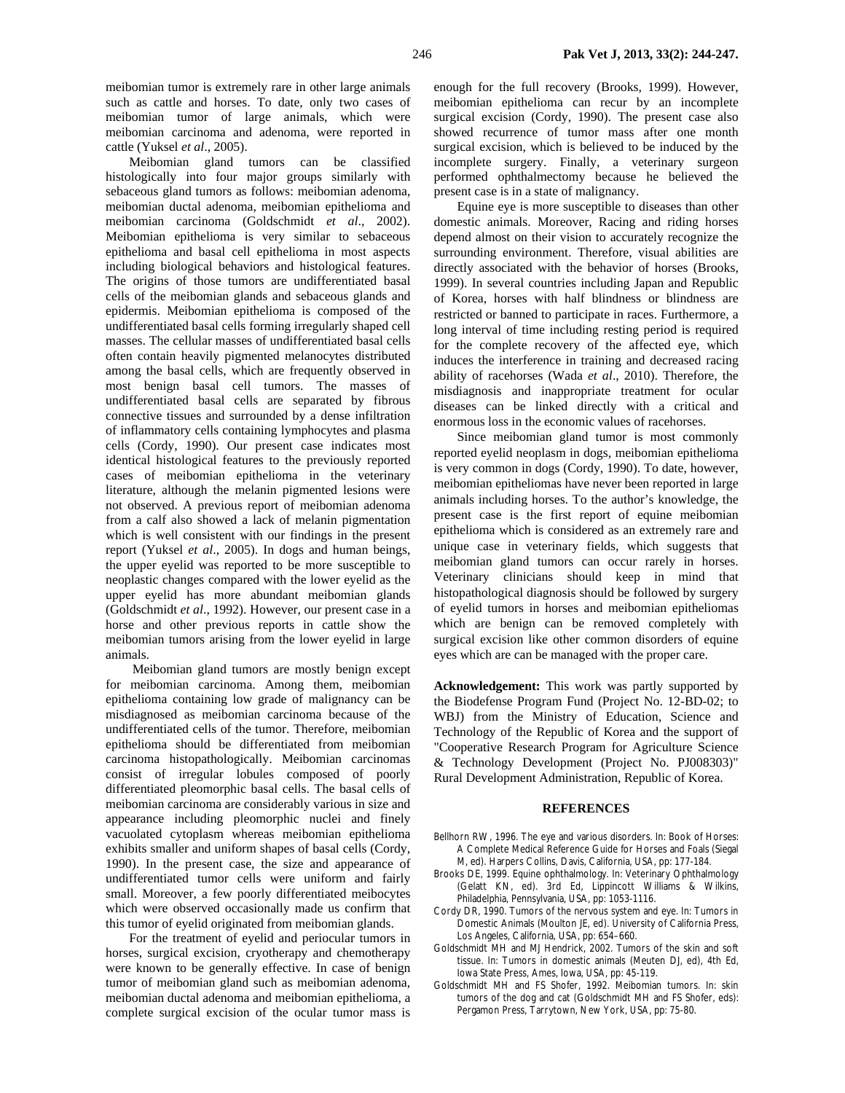meibomian tumor is extremely rare in other large animals such as cattle and horses. To date, only two cases of meibomian tumor of large animals, which were meibomian carcinoma and adenoma, were reported in cattle (Yuksel *et al*., 2005).

Meibomian gland tumors can be classified histologically into four major groups similarly with sebaceous gland tumors as follows: meibomian adenoma, meibomian ductal adenoma, meibomian epithelioma and meibomian carcinoma (Goldschmidt *et al*., 2002). Meibomian epithelioma is very similar to sebaceous epithelioma and basal cell epithelioma in most aspects including biological behaviors and histological features. The origins of those tumors are undifferentiated basal cells of the meibomian glands and sebaceous glands and epidermis. Meibomian epithelioma is composed of the undifferentiated basal cells forming irregularly shaped cell masses. The cellular masses of undifferentiated basal cells often contain heavily pigmented melanocytes distributed among the basal cells, which are frequently observed in most benign basal cell tumors. The masses of undifferentiated basal cells are separated by fibrous connective tissues and surrounded by a dense infiltration of inflammatory cells containing lymphocytes and plasma cells (Cordy, 1990). Our present case indicates most identical histological features to the previously reported cases of meibomian epithelioma in the veterinary literature, although the melanin pigmented lesions were not observed. A previous report of meibomian adenoma from a calf also showed a lack of melanin pigmentation which is well consistent with our findings in the present report (Yuksel *et al*., 2005). In dogs and human beings, the upper eyelid was reported to be more susceptible to neoplastic changes compared with the lower eyelid as the upper eyelid has more abundant meibomian glands (Goldschmidt *et al*., 1992). However, our present case in a horse and other previous reports in cattle show the meibomian tumors arising from the lower eyelid in large animals.

 Meibomian gland tumors are mostly benign except for meibomian carcinoma. Among them, meibomian epithelioma containing low grade of malignancy can be misdiagnosed as meibomian carcinoma because of the undifferentiated cells of the tumor. Therefore, meibomian epithelioma should be differentiated from meibomian carcinoma histopathologically. Meibomian carcinomas consist of irregular lobules composed of poorly differentiated pleomorphic basal cells. The basal cells of meibomian carcinoma are considerably various in size and appearance including pleomorphic nuclei and finely vacuolated cytoplasm whereas meibomian epithelioma exhibits smaller and uniform shapes of basal cells (Cordy, 1990). In the present case, the size and appearance of undifferentiated tumor cells were uniform and fairly small. Moreover, a few poorly differentiated meibocytes which were observed occasionally made us confirm that this tumor of eyelid originated from meibomian glands.

For the treatment of eyelid and periocular tumors in horses, surgical excision, cryotherapy and chemotherapy were known to be generally effective. In case of benign tumor of meibomian gland such as meibomian adenoma, meibomian ductal adenoma and meibomian epithelioma, a complete surgical excision of the ocular tumor mass is

enough for the full recovery (Brooks, 1999). However, meibomian epithelioma can recur by an incomplete surgical excision (Cordy, 1990). The present case also showed recurrence of tumor mass after one month surgical excision, which is believed to be induced by the incomplete surgery. Finally, a veterinary surgeon performed ophthalmectomy because he believed the present case is in a state of malignancy.

Equine eye is more susceptible to diseases than other domestic animals. Moreover, Racing and riding horses depend almost on their vision to accurately recognize the surrounding environment. Therefore, visual abilities are directly associated with the behavior of horses (Brooks, 1999). In several countries including Japan and Republic of Korea, horses with half blindness or blindness are restricted or banned to participate in races. Furthermore, a long interval of time including resting period is required for the complete recovery of the affected eye, which induces the interference in training and decreased racing ability of racehorses (Wada *et al*., 2010). Therefore, the misdiagnosis and inappropriate treatment for ocular diseases can be linked directly with a critical and enormous loss in the economic values of racehorses.

Since meibomian gland tumor is most commonly reported eyelid neoplasm in dogs, meibomian epithelioma is very common in dogs (Cordy, 1990). To date, however, meibomian epitheliomas have never been reported in large animals including horses. To the author's knowledge, the present case is the first report of equine meibomian epithelioma which is considered as an extremely rare and unique case in veterinary fields, which suggests that meibomian gland tumors can occur rarely in horses. Veterinary clinicians should keep in mind that histopathological diagnosis should be followed by surgery of eyelid tumors in horses and meibomian epitheliomas which are benign can be removed completely with surgical excision like other common disorders of equine eyes which are can be managed with the proper care.

**Acknowledgement:** This work was partly supported by the Biodefense Program Fund (Project No. 12-BD-02; to WBJ) from the Ministry of Education, Science and Technology of the Republic of Korea and the support of "Cooperative Research Program for Agriculture Science & Technology Development (Project No. PJ008303)" Rural Development Administration, Republic of Korea.

#### **REFERENCES**

- Bellhorn RW, 1996. The eye and various disorders. In: Book of Horses: A Complete Medical Reference Guide for Horses and Foals (Siegal M, ed). Harpers Collins, Davis, California, USA, pp: 177-184.
- Brooks DE, 1999. Equine ophthalmology. In: Veterinary Ophthalmology (Gelatt KN, ed). 3rd Ed, Lippincott Williams & Wilkins, Philadelphia, Pennsylvania, USA, pp: 1053-1116.
- Cordy DR, 1990. Tumors of the nervous system and eye. In: Tumors in Domestic Animals (Moulton JE, ed). University of California Press, Los Angeles, California, USA, pp: 654–660.
- Goldschmidt MH and MJ Hendrick, 2002. Tumors of the skin and soft tissue. In: Tumors in domestic animals (Meuten DJ, ed), 4th Ed, Iowa State Press, Ames, Iowa, USA, pp: 45-119.
- Goldschmidt MH and FS Shofer, 1992. Meibomian tumors. In: skin tumors of the dog and cat (Goldschmidt MH and FS Shofer, eds): Pergamon Press, Tarrytown, New York, USA, pp: 75-80.